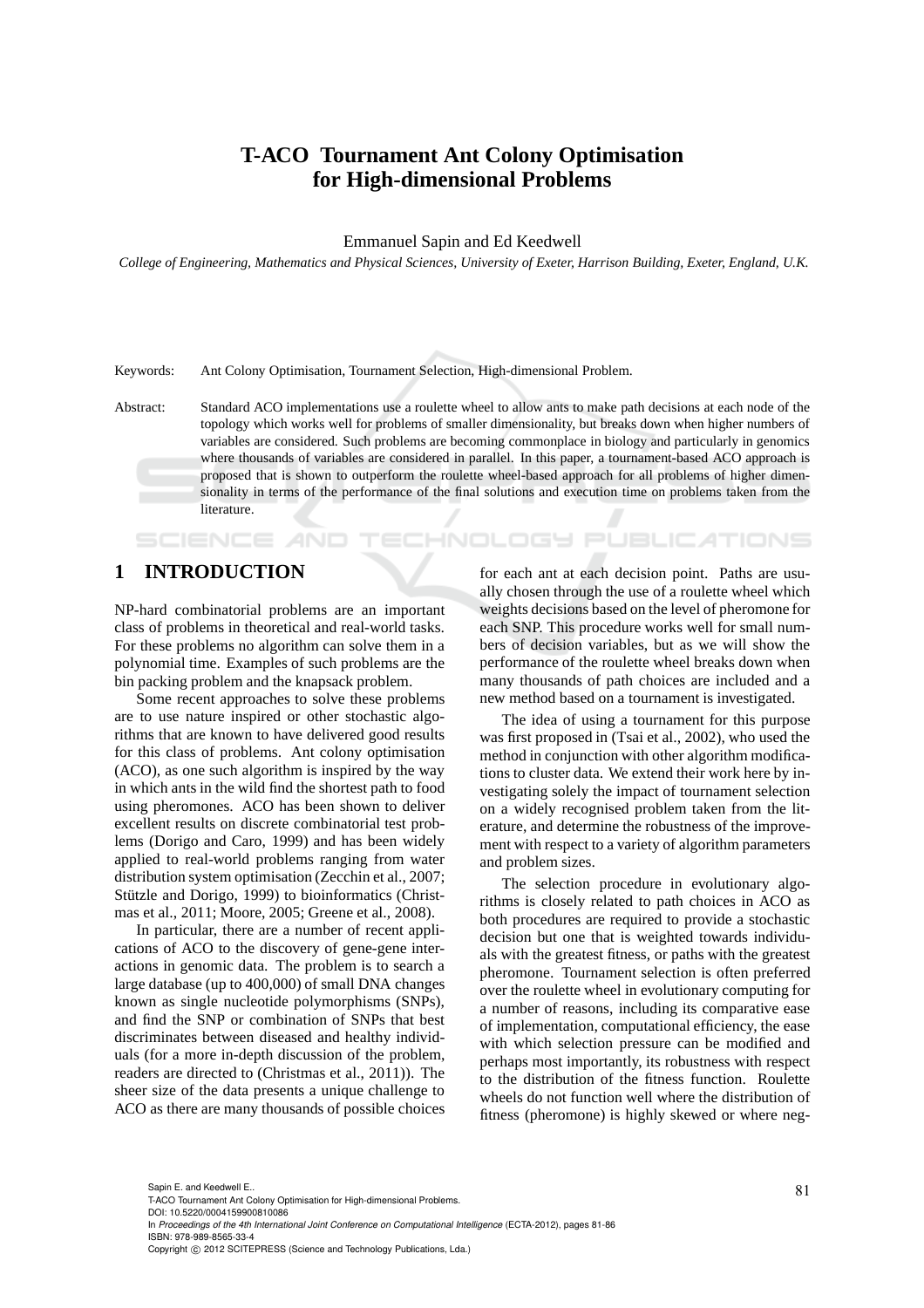## **T-ACO Tournament Ant Colony Optimisation for High-dimensional Problems**

Emmanuel Sapin and Ed Keedwell

*College of Engineering, Mathematics and Physical Sciences, University of Exeter, Harrison Building, Exeter, England, U.K.*

Keywords: Ant Colony Optimisation, Tournament Selection, High-dimensional Problem.

Abstract: Standard ACO implementations use a roulette wheel to allow ants to make path decisions at each node of the topology which works well for problems of smaller dimensionality, but breaks down when higher numbers of variables are considered. Such problems are becoming commonplace in biology and particularly in genomics where thousands of variables are considered in parallel. In this paper, a tournament-based ACO approach is proposed that is shown to outperform the roulette wheel-based approach for all problems of higher dimensionality in terms of the performance of the final solutions and execution time on problems taken from the literature.

## **1 INTRODUCTION**

SCIENCE

NP-hard combinatorial problems are an important class of problems in theoretical and real-world tasks. For these problems no algorithm can solve them in a polynomial time. Examples of such problems are the bin packing problem and the knapsack problem.

Some recent approaches to solve these problems are to use nature inspired or other stochastic algorithms that are known to have delivered good results for this class of problems. Ant colony optimisation (ACO), as one such algorithm is inspired by the way in which ants in the wild find the shortest path to food using pheromones. ACO has been shown to deliver excellent results on discrete combinatorial test problems (Dorigo and Caro, 1999) and has been widely applied to real-world problems ranging from water distribution system optimisation (Zecchin et al., 2007; Stützle and Dorigo, 1999) to bioinformatics (Christmas et al., 2011; Moore, 2005; Greene et al., 2008).

In particular, there are a number of recent applications of ACO to the discovery of gene-gene interactions in genomic data. The problem is to search a large database (up to 400,000) of small DNA changes known as single nucleotide polymorphisms (SNPs), and find the SNP or combination of SNPs that best discriminates between diseased and healthy individuals (for a more in-depth discussion of the problem, readers are directed to (Christmas et al., 2011)). The sheer size of the data presents a unique challenge to ACO as there are many thousands of possible choices for each ant at each decision point. Paths are usually chosen through the use of a roulette wheel which weights decisions based on the level of pheromone for each SNP. This procedure works well for small numbers of decision variables, but as we will show the performance of the roulette wheel breaks down when many thousands of path choices are included and a new method based on a tournament is investigated.

IHNOLOGY PUBLIC*A*TIONS

The idea of using a tournament for this purpose was first proposed in (Tsai et al., 2002), who used the method in conjunction with other algorithm modifications to cluster data. We extend their work here by investigating solely the impact of tournament selection on a widely recognised problem taken from the literature, and determine the robustness of the improvement with respect to a variety of algorithm parameters and problem sizes.

The selection procedure in evolutionary algorithms is closely related to path choices in ACO as both procedures are required to provide a stochastic decision but one that is weighted towards individuals with the greatest fitness, or paths with the greatest pheromone. Tournament selection is often preferred over the roulette wheel in evolutionary computing for a number of reasons, including its comparative ease of implementation, computational efficiency, the ease with which selection pressure can be modified and perhaps most importantly, its robustness with respect to the distribution of the fitness function. Roulette wheels do not function well where the distribution of fitness (pheromone) is highly skewed or where neg-

In *Proceedings of the 4th International Joint Conference on Computational Intelligence* (ECTA-2012), pages 81-86 ISBN: 978-989-8565-33-4

<sup>81</sup> Sapin E. and Keedwell E.. T-ACO Tournament Ant Colony Optimisation for High-dimensional Problems. DOI: 10.5220/0004159900810086

Copyright © 2012 SCITEPRESS (Science and Technology Publications, Lda.)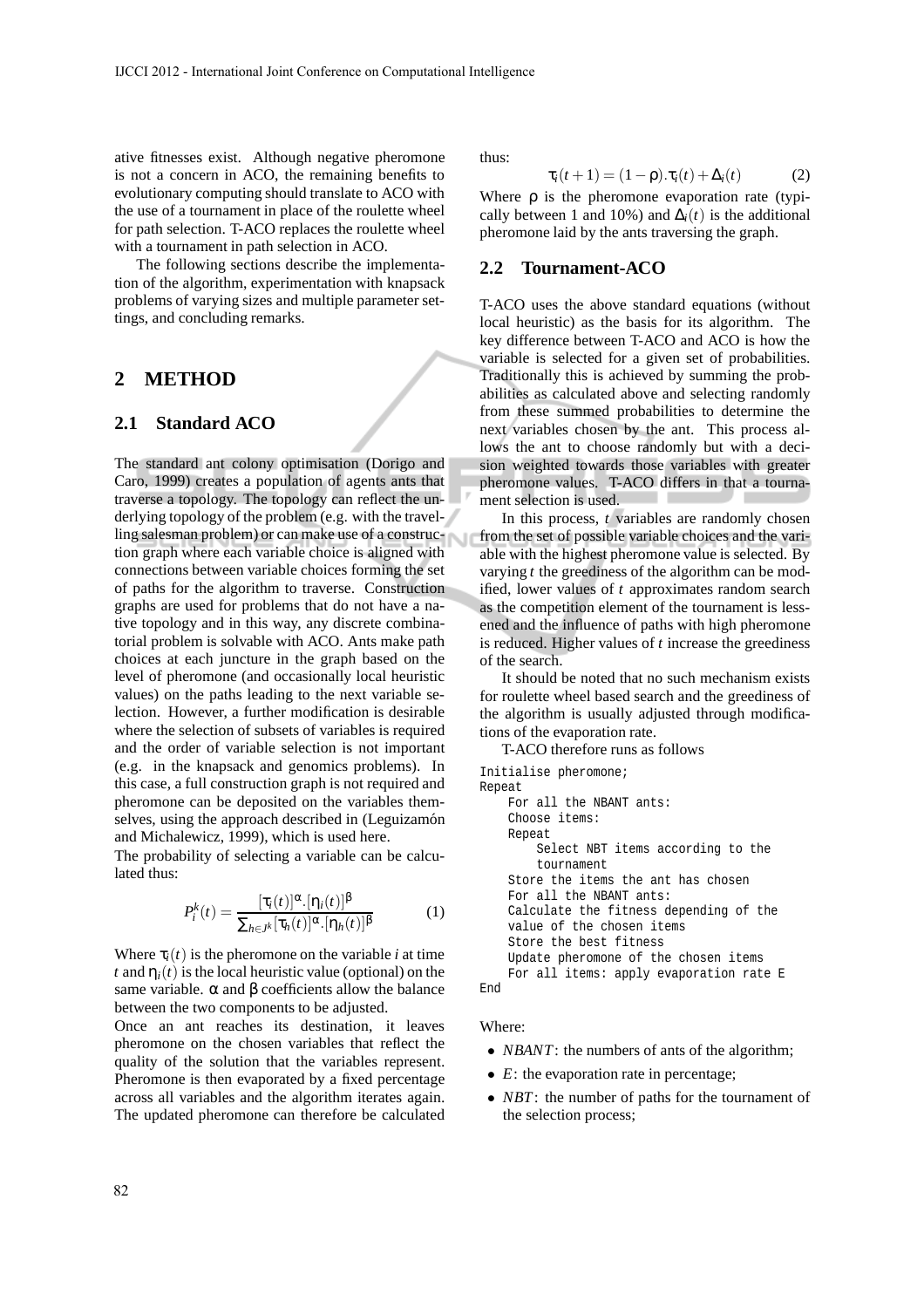ative fitnesses exist. Although negative pheromone is not a concern in ACO, the remaining benefits to evolutionary computing should translate to ACO with the use of a tournament in place of the roulette wheel for path selection. T-ACO replaces the roulette wheel with a tournament in path selection in ACO.

The following sections describe the implementation of the algorithm, experimentation with knapsack problems of varying sizes and multiple parameter settings, and concluding remarks.

### **2 METHOD**

#### **2.1 Standard ACO**

The standard ant colony optimisation (Dorigo and Caro, 1999) creates a population of agents ants that traverse a topology. The topology can reflect the underlying topology of the problem (e.g. with the travelling salesman problem) or can make use of a construction graph where each variable choice is aligned with connections between variable choices forming the set of paths for the algorithm to traverse. Construction graphs are used for problems that do not have a native topology and in this way, any discrete combinatorial problem is solvable with ACO. Ants make path choices at each juncture in the graph based on the level of pheromone (and occasionally local heuristic values) on the paths leading to the next variable selection. However, a further modification is desirable where the selection of subsets of variables is required and the order of variable selection is not important (e.g. in the knapsack and genomics problems). In this case, a full construction graph is not required and pheromone can be deposited on the variables themselves, using the approach described in (Leguizamón and Michalewicz, 1999), which is used here.

The probability of selecting a variable can be calculated thus:

$$
P_i^k(t) = \frac{[\tau_i(t)]^{\alpha} \cdot [\eta_i(t)]^{\beta}}{\sum_{h \in J^k} [\tau_h(t)]^{\alpha} \cdot [\eta_h(t)]^{\beta}}
$$
(1)

Where  $\tau_i(t)$  is the pheromone on the variable *i* at time *t* and  $\eta_i(t)$  is the local heuristic value (optional) on the same variable.  $\alpha$  and  $\beta$  coefficients allow the balance between the two components to be adjusted.

Once an ant reaches its destination, it leaves pheromone on the chosen variables that reflect the quality of the solution that the variables represent. Pheromone is then evaporated by a fixed percentage across all variables and the algorithm iterates again. The updated pheromone can therefore be calculated thus:

$$
\tau_i(t+1) = (1-\rho).\tau_i(t) + \Delta_i(t) \tag{2}
$$

Where  $\rho$  is the pheromone evaporation rate (typically between 1 and 10%) and  $\Delta_i(t)$  is the additional pheromone laid by the ants traversing the graph.

#### **2.2 Tournament-ACO**

T-ACO uses the above standard equations (without local heuristic) as the basis for its algorithm. The key difference between T-ACO and ACO is how the variable is selected for a given set of probabilities. Traditionally this is achieved by summing the probabilities as calculated above and selecting randomly from these summed probabilities to determine the next variables chosen by the ant. This process allows the ant to choose randomly but with a decision weighted towards those variables with greater pheromone values. T-ACO differs in that a tournament selection is used.

In this process, *t* variables are randomly chosen from the set of possible variable choices and the variable with the highest pheromone value is selected. By varying *t* the greediness of the algorithm can be modified, lower values of *t* approximates random search as the competition element of the tournament is lessened and the influence of paths with high pheromone is reduced. Higher values of *t* increase the greediness of the search.

It should be noted that no such mechanism exists for roulette wheel based search and the greediness of the algorithm is usually adjusted through modifications of the evaporation rate.

T-ACO therefore runs as follows Initialise pheromone; Repeat For all the NBANT ants: Choose items: Repeat Select NBT items according to the tournament Store the items the ant has chosen For all the NBANT ants: Calculate the fitness depending of the value of the chosen items Store the best fitness Update pheromone of the chosen items For all items: apply evaporation rate E End

#### Where:

- *NBANT*: the numbers of ants of the algorithm;
- *E*: the evaporation rate in percentage;
- *NBT*: the number of paths for the tournament of the selection process;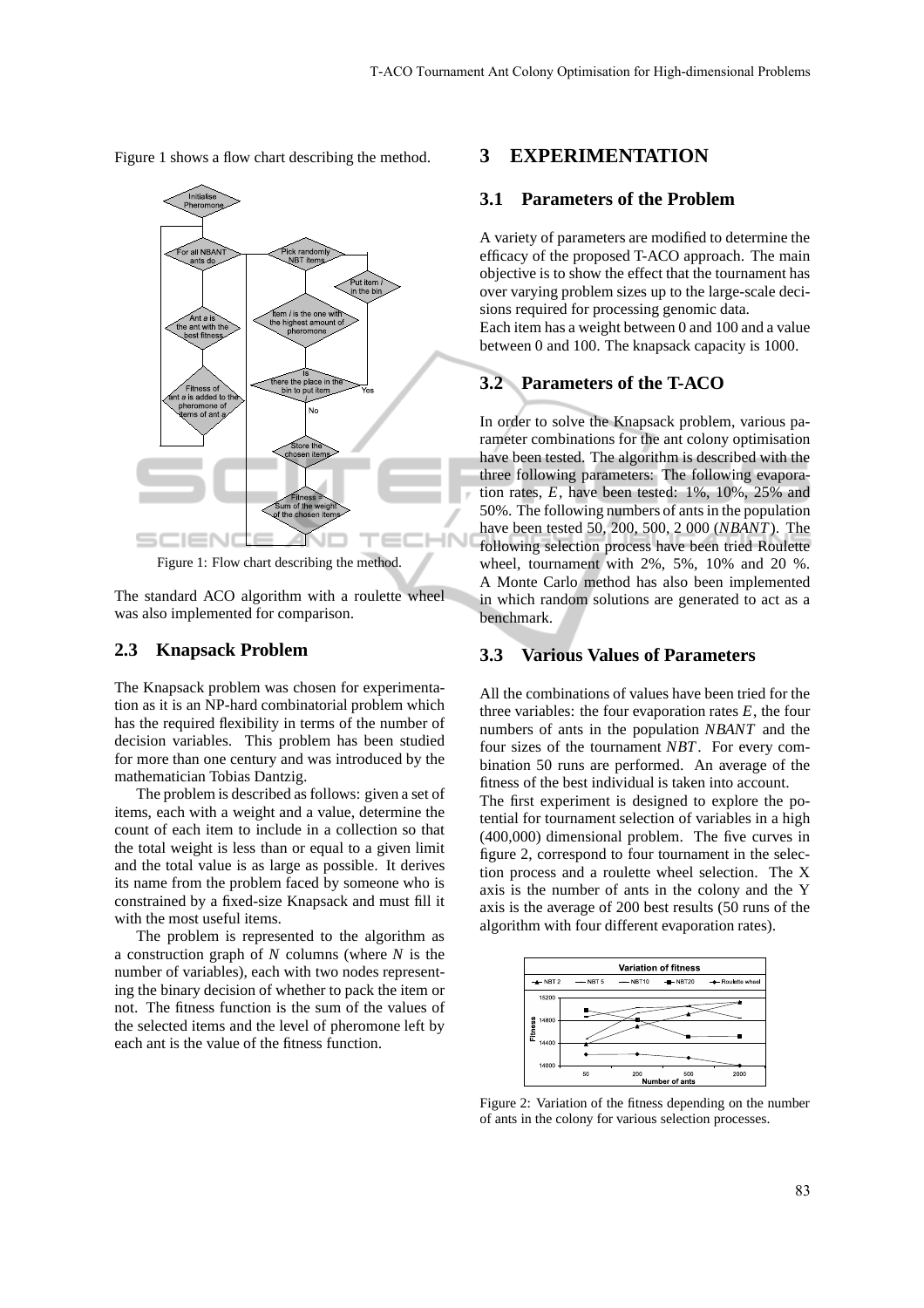Figure 1 shows a flow chart describing the method.



Figure 1: Flow chart describing the method.

The standard ACO algorithm with a roulette wheel was also implemented for comparison.

#### **2.3 Knapsack Problem**

The Knapsack problem was chosen for experimentation as it is an NP-hard combinatorial problem which has the required flexibility in terms of the number of decision variables. This problem has been studied for more than one century and was introduced by the mathematician Tobias Dantzig.

The problem is described as follows: given a set of items, each with a weight and a value, determine the count of each item to include in a collection so that the total weight is less than or equal to a given limit and the total value is as large as possible. It derives its name from the problem faced by someone who is constrained by a fixed-size Knapsack and must fill it with the most useful items.

The problem is represented to the algorithm as a construction graph of *N* columns (where *N* is the number of variables), each with two nodes representing the binary decision of whether to pack the item or not. The fitness function is the sum of the values of the selected items and the level of pheromone left by each ant is the value of the fitness function.

#### **3 EXPERIMENTATION**

#### **3.1 Parameters of the Problem**

A variety of parameters are modified to determine the efficacy of the proposed T-ACO approach. The main objective is to show the effect that the tournament has over varying problem sizes up to the large-scale decisions required for processing genomic data. Each item has a weight between 0 and 100 and a value between 0 and 100. The knapsack capacity is 1000.

## **3.2 Parameters of the T-ACO**

In order to solve the Knapsack problem, various parameter combinations for the ant colony optimisation have been tested. The algorithm is described with the three following parameters: The following evaporation rates, *E*, have been tested: 1%, 10%, 25% and 50%. The following numbers of ants in the population have been tested 50, 200, 500, 2 000 (*NBANT*). The following selection process have been tried Roulette wheel, tournament with 2%, 5%, 10% and 20 %. A Monte Carlo method has also been implemented in which random solutions are generated to act as a benchmark.

#### **3.3 Various Values of Parameters**

All the combinations of values have been tried for the three variables: the four evaporation rates  $E$ , the four numbers of ants in the population *NBANT* and the four sizes of the tournament *NBT*. For every combination 50 runs are performed. An average of the fitness of the best individual is taken into account. The first experiment is designed to explore the potential for tournament selection of variables in a high (400,000) dimensional problem. The five curves in figure 2, correspond to four tournament in the selection process and a roulette wheel selection. The X axis is the number of ants in the colony and the Y axis is the average of 200 best results (50 runs of the algorithm with four different evaporation rates).



Figure 2: Variation of the fitness depending on the number of ants in the colony for various selection processes.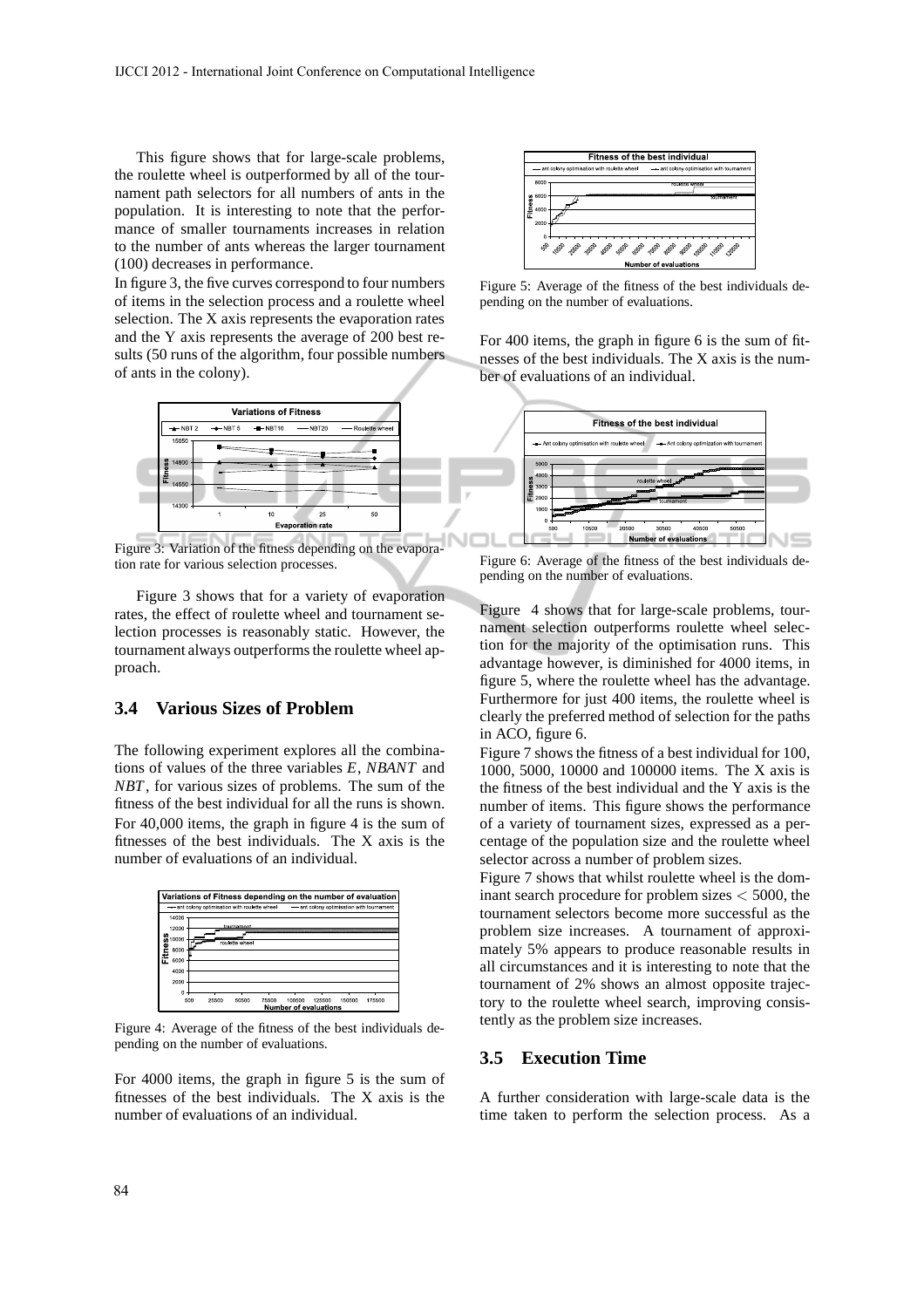This figure shows that for large-scale problems, the roulette wheel is outperformed by all of the tournament path selectors for all numbers of ants in the population. It is interesting to note that the performance of smaller tournaments increases in relation to the number of ants whereas the larger tournament (100) decreases in performance.

In figure 3, the five curves correspond to four numbers of items in the selection process and a roulette wheel selection. The X axis represents the evaporation rates and the Y axis represents the average of 200 best results (50 runs of the algorithm, four possible numbers of ants in the colony).



Figure 3: Variation of the fitness depending on the evaporation rate for various selection processes.

Figure 3 shows that for a variety of evaporation rates, the effect of roulette wheel and tournament selection processes is reasonably static. However, the tournament always outperforms the roulette wheel approach.

## **3.4 Various Sizes of Problem**

The following experiment explores all the combinations of values of the three variables *E*, *NBANT* and *NBT*, for various sizes of problems. The sum of the fitness of the best individual for all the runs is shown. For 40,000 items, the graph in figure 4 is the sum of fitnesses of the best individuals. The X axis is the number of evaluations of an individual.



Figure 4: Average of the fitness of the best individuals depending on the number of evaluations.

For 4000 items, the graph in figure 5 is the sum of fitnesses of the best individuals. The X axis is the number of evaluations of an individual.



Figure 5: Average of the fitness of the best individuals depending on the number of evaluations.

For 400 items, the graph in figure 6 is the sum of fitnesses of the best individuals. The X axis is the number of evaluations of an individual.



Figure 6: Average of the fitness of the best individuals depending on the number of evaluations.

Figure 4 shows that for large-scale problems, tournament selection outperforms roulette wheel selection for the majority of the optimisation runs. This advantage however, is diminished for 4000 items, in figure 5, where the roulette wheel has the advantage. Furthermore for just 400 items, the roulette wheel is clearly the preferred method of selection for the paths in ACO, figure 6.

Figure 7 shows the fitness of a best individual for 100, 1000, 5000, 10000 and 100000 items. The X axis is the fitness of the best individual and the Y axis is the number of items. This figure shows the performance of a variety of tournament sizes, expressed as a percentage of the population size and the roulette wheel selector across a number of problem sizes.

Figure 7 shows that whilst roulette wheel is the dominant search procedure for problem sizes < 5000, the tournament selectors become more successful as the problem size increases. A tournament of approximately 5% appears to produce reasonable results in all circumstances and it is interesting to note that the tournament of 2% shows an almost opposite trajectory to the roulette wheel search, improving consistently as the problem size increases.

#### **3.5 Execution Time**

A further consideration with large-scale data is the time taken to perform the selection process. As a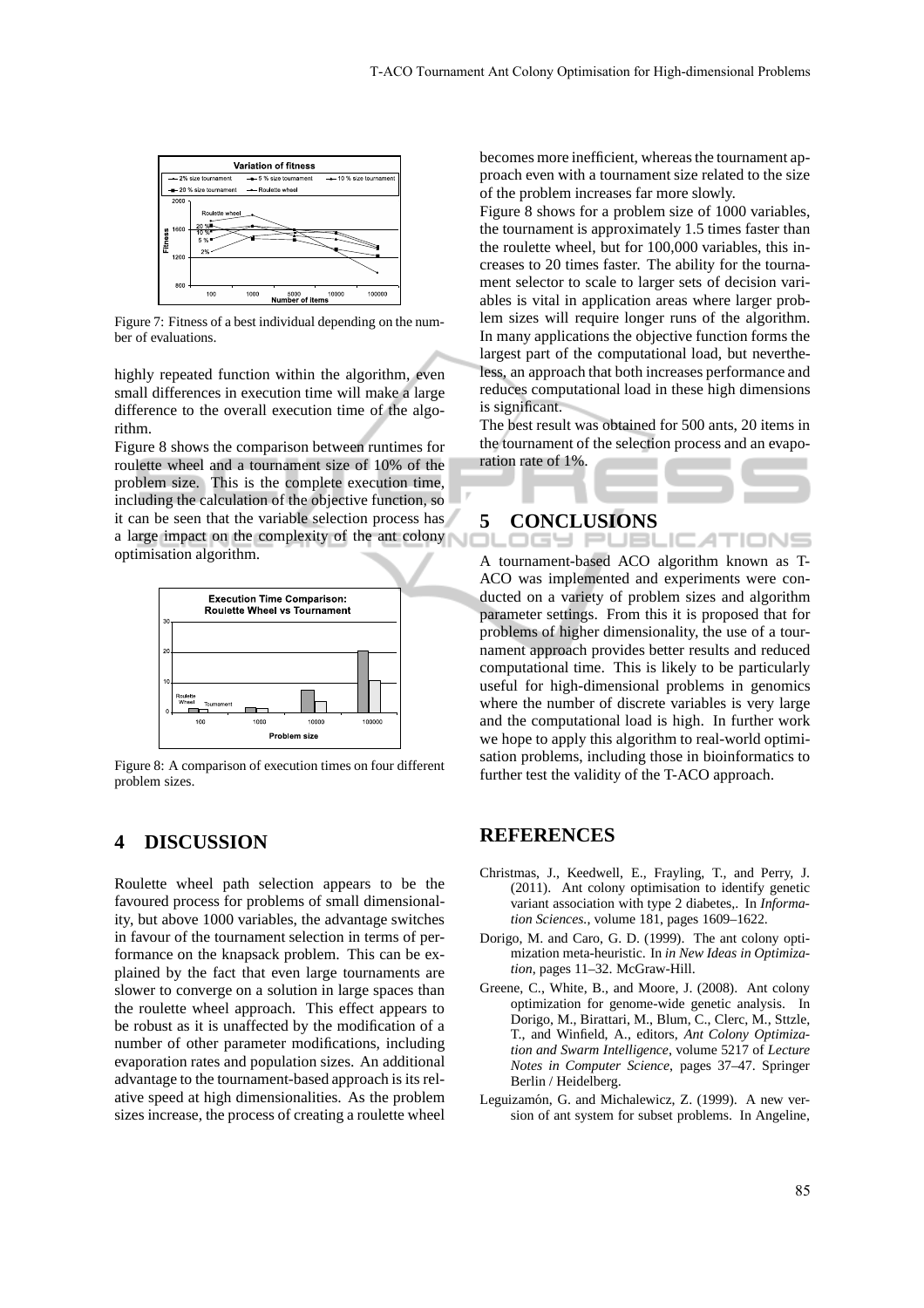

Figure 7: Fitness of a best individual depending on the number of evaluations.

highly repeated function within the algorithm, even small differences in execution time will make a large difference to the overall execution time of the algorithm.

Figure 8 shows the comparison between runtimes for roulette wheel and a tournament size of 10% of the problem size. This is the complete execution time, including the calculation of the objective function, so it can be seen that the variable selection process has a large impact on the complexity of the ant colony optimisation algorithm.



Figure 8: A comparison of execution times on four different problem sizes.

## **4 DISCUSSION**

Roulette wheel path selection appears to be the favoured process for problems of small dimensionality, but above 1000 variables, the advantage switches in favour of the tournament selection in terms of performance on the knapsack problem. This can be explained by the fact that even large tournaments are slower to converge on a solution in large spaces than the roulette wheel approach. This effect appears to be robust as it is unaffected by the modification of a number of other parameter modifications, including evaporation rates and population sizes. An additional advantage to the tournament-based approach is its relative speed at high dimensionalities. As the problem sizes increase, the process of creating a roulette wheel becomes more inefficient, whereas the tournament approach even with a tournament size related to the size of the problem increases far more slowly.

Figure 8 shows for a problem size of 1000 variables, the tournament is approximately 1.5 times faster than the roulette wheel, but for 100,000 variables, this increases to 20 times faster. The ability for the tournament selector to scale to larger sets of decision variables is vital in application areas where larger problem sizes will require longer runs of the algorithm. In many applications the objective function forms the largest part of the computational load, but nevertheless, an approach that both increases performance and reduces computational load in these high dimensions is significant.

The best result was obtained for 500 ants, 20 items in the tournament of the selection process and an evaporation rate of 1%.

AТ

# **5 CONCLUSIONS**

A tournament-based ACO algorithm known as T-ACO was implemented and experiments were conducted on a variety of problem sizes and algorithm parameter settings. From this it is proposed that for problems of higher dimensionality, the use of a tournament approach provides better results and reduced computational time. This is likely to be particularly useful for high-dimensional problems in genomics where the number of discrete variables is very large and the computational load is high. In further work we hope to apply this algorithm to real-world optimisation problems, including those in bioinformatics to further test the validity of the T-ACO approach.

#### **REFERENCES**

- Christmas, J., Keedwell, E., Frayling, T., and Perry, J. (2011). Ant colony optimisation to identify genetic variant association with type 2 diabetes,. In *Information Sciences.*, volume 181, pages 1609–1622.
- Dorigo, M. and Caro, G. D. (1999). The ant colony optimization meta-heuristic. In *in New Ideas in Optimization*, pages 11–32. McGraw-Hill.
- Greene, C., White, B., and Moore, J. (2008). Ant colony optimization for genome-wide genetic analysis. In Dorigo, M., Birattari, M., Blum, C., Clerc, M., Sttzle, T., and Winfield, A., editors, *Ant Colony Optimization and Swarm Intelligence*, volume 5217 of *Lecture Notes in Computer Science*, pages 37–47. Springer Berlin / Heidelberg.
- Leguizamón, G. and Michalewicz, Z. (1999). A new version of ant system for subset problems. In Angeline,